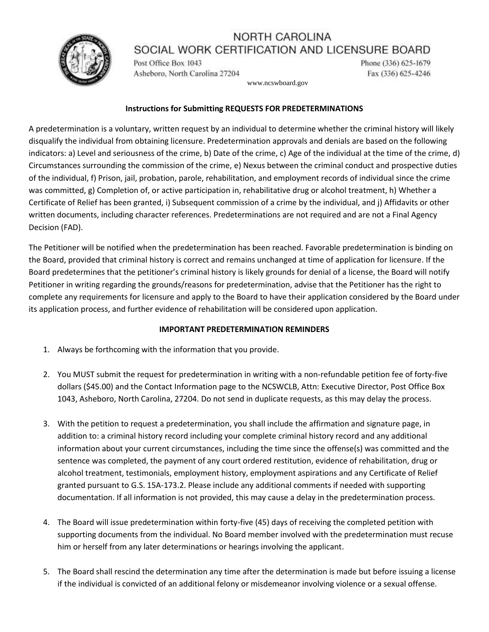### NORTH CAROLINA SOCIAL WORK CERTIFICATION AND LICENSURE BOARD



Post Office Box 1043 Asheboro, North Carolina 27204 Phone (336) 625-1679 Fax (336) 625-4246

www.ncswboard.gov

### **Instructions for Submitting REQUESTS FOR PREDETERMINATIONS**

A predetermination is a voluntary, written request by an individual to determine whether the criminal history will likely disqualify the individual from obtaining licensure. Predetermination approvals and denials are based on the following indicators: a) Level and seriousness of the crime, b) Date of the crime, c) Age of the individual at the time of the crime, d) Circumstances surrounding the commission of the crime, e) Nexus between the criminal conduct and prospective duties of the individual, f) Prison, jail, probation, parole, rehabilitation, and employment records of individual since the crime was committed, g) Completion of, or active participation in, rehabilitative drug or alcohol treatment, h) Whether a Certificate of Relief has been granted, i) Subsequent commission of a crime by the individual, and j) Affidavits or other written documents, including character references. Predeterminations are not required and are not a Final Agency Decision (FAD).

The Petitioner will be notified when the predetermination has been reached. Favorable predetermination is binding on the Board, provided that criminal history is correct and remains unchanged at time of application for licensure. If the Board predetermines that the petitioner's criminal history is likely grounds for denial of a license, the Board will notify Petitioner in writing regarding the grounds/reasons for predetermination, advise that the Petitioner has the right to complete any requirements for licensure and apply to the Board to have their application considered by the Board under its application process, and further evidence of rehabilitation will be considered upon application.

### **IMPORTANT PREDETERMINATION REMINDERS**

- 1. Always be forthcoming with the information that you provide.
- 2. You MUST submit the request for predetermination in writing with a non-refundable petition fee of forty-five dollars (\$45.00) and the Contact Information page to the NCSWCLB, Attn: Executive Director, Post Office Box 1043, Asheboro, North Carolina, 27204. Do not send in duplicate requests, as this may delay the process.
- 3. With the petition to request a predetermination, you shall include the affirmation and signature page, in addition to: a criminal history record including your complete criminal history record and any additional information about your current circumstances, including the time since the offense(s) was committed and the sentence was completed, the payment of any court ordered restitution, evidence of rehabilitation, drug or alcohol treatment, testimonials, employment history, employment aspirations and any Certificate of Relief granted pursuant to G.S. 15A-173.2. Please include any additional comments if needed with supporting documentation. If all information is not provided, this may cause a delay in the predetermination process.
- 4. The Board will issue predetermination within forty-five (45) days of receiving the completed petition with supporting documents from the individual. No Board member involved with the predetermination must recuse him or herself from any later determinations or hearings involving the applicant.
- 5. The Board shall rescind the determination any time after the determination is made but before issuing a license if the individual is convicted of an additional felony or misdemeanor involving violence or a sexual offense.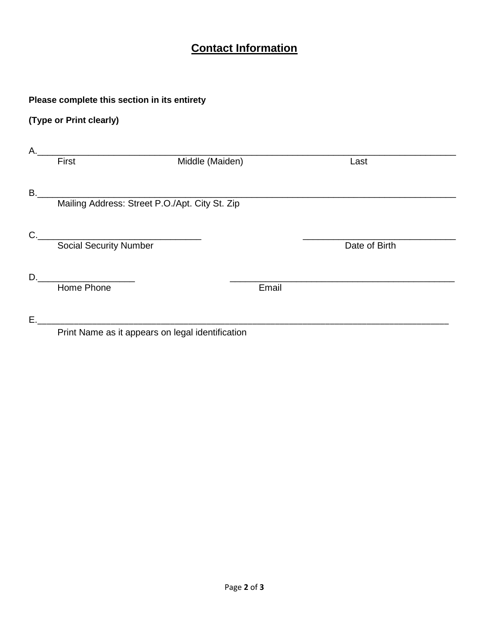# **Contact Information**

## **Please complete this section in its entirety**

# **(Type or Print clearly)**

| А.        |                                                   |                 |       |               |  |
|-----------|---------------------------------------------------|-----------------|-------|---------------|--|
|           | First                                             | Middle (Maiden) |       | Last          |  |
| <b>B.</b> |                                                   |                 |       |               |  |
|           | Mailing Address: Street P.O./Apt. City St. Zip    |                 |       |               |  |
| C.        | <u> 1989 - Johann Barbara, martxa alemaniar a</u> |                 |       |               |  |
|           | <b>Social Security Number</b>                     |                 |       | Date of Birth |  |
| D.        |                                                   |                 |       |               |  |
|           | Home Phone                                        |                 | Email |               |  |
| Ε.        |                                                   |                 |       |               |  |
|           | Print Name as it appears on legal identification  |                 |       |               |  |